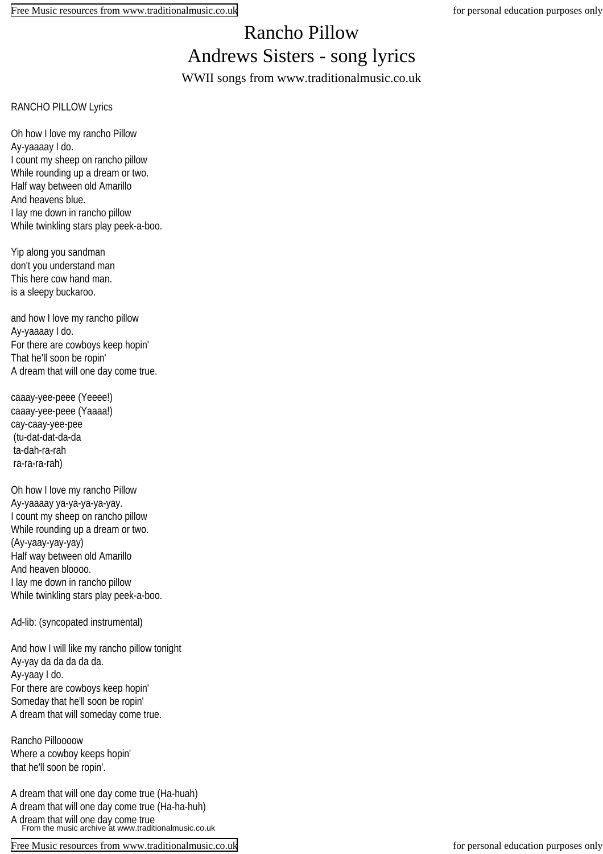## Rancho Pillow Andrews Sisters - song lyrics WWII songs from www.traditionalmusic.co.uk

RANCHO PILLOW Lyrics

Oh how I love my rancho Pillow Ay-yaaaay I do. I count my sheep on rancho pillow While rounding up a dream or two. Half way between old Amarillo And heavens blue. I lay me down in rancho pillow While twinkling stars play peek-a-boo.

Yip along you sandman don't you understand man This here cow hand man. is a sleepy buckaroo.

and how I love my rancho pillow Ay-yaaaay I do. For there are cowboys keep hopin' That he'll soon be ropin' A dream that will one day come true.

caaay-yee-peee (Yeeee!) caaay-yee-peee (Yaaaa!) cay-caay-yee-pee (tu-dat-dat-da-da ta-dah-ra-rah ra-ra-ra-rah)

Oh how I love my rancho Pillow Ay-yaaaay ya-ya-ya-ya-yay. I count my sheep on rancho pillow While rounding up a dream or two. (Ay-yaay-yay-yay) Half way between old Amarillo And heaven bloooo. I lay me down in rancho pillow While twinkling stars play peek-a-boo.

Ad-lib: (syncopated instrumental)

And how I will like my rancho pillow tonight Ay-yay da da da da da. Ay-yaay I do. For there are cowboys keep hopin' Someday that he'll soon be ropin' A dream that will someday come true.

Rancho Pilloooow Where a cowboy keeps hopin' that he'll soon be ropin'.

A dream that will one day come true (Ha-huah) A dream that will one day come true (Ha-ha-huh) A dream that will one day come true From the music archive at www.traditionalmusic.co.uk

[Free Music resources from www.traditionalmusic.co.uk](http://www.traditionalmusic.co.uk) for personal education purposes only